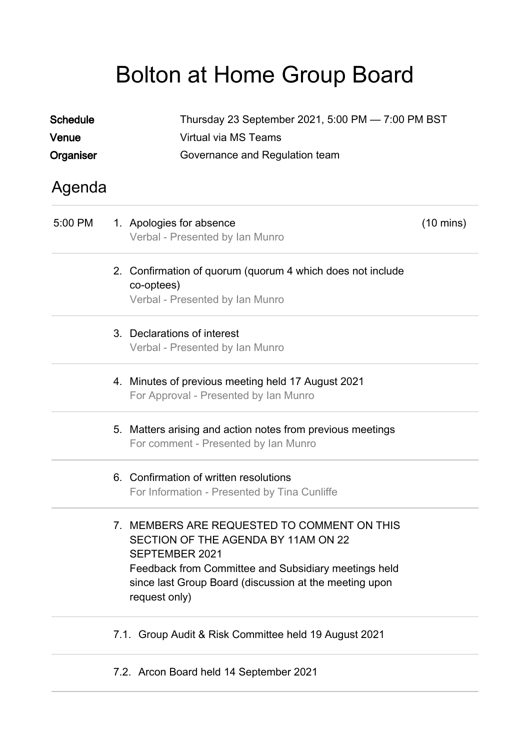# Bolton at Home Group Board

| <b>Schedule</b><br>Venue | Thursday 23 September 2021, 5:00 PM - 7:00 PM BST<br>Virtual via MS Teams                                                                                                                                                                      |                     |  |  |
|--------------------------|------------------------------------------------------------------------------------------------------------------------------------------------------------------------------------------------------------------------------------------------|---------------------|--|--|
| Organiser                | Governance and Regulation team                                                                                                                                                                                                                 |                     |  |  |
| Agenda                   |                                                                                                                                                                                                                                                |                     |  |  |
| 5:00 PM                  | 1. Apologies for absence<br>Verbal - Presented by Ian Munro                                                                                                                                                                                    | $(10 \text{ mins})$ |  |  |
|                          | 2. Confirmation of quorum (quorum 4 which does not include<br>co-optees)<br>Verbal - Presented by Ian Munro                                                                                                                                    |                     |  |  |
|                          | 3. Declarations of interest<br>Verbal - Presented by Ian Munro                                                                                                                                                                                 |                     |  |  |
|                          | 4. Minutes of previous meeting held 17 August 2021<br>For Approval - Presented by Ian Munro                                                                                                                                                    |                     |  |  |
|                          | 5. Matters arising and action notes from previous meetings<br>For comment - Presented by Ian Munro                                                                                                                                             |                     |  |  |
|                          | 6. Confirmation of written resolutions<br>For Information - Presented by Tina Cunliffe                                                                                                                                                         |                     |  |  |
|                          | 7. MEMBERS ARE REQUESTED TO COMMENT ON THIS<br>SECTION OF THE AGENDA BY 11AM ON 22<br><b>SEPTEMBER 2021</b><br>Feedback from Committee and Subsidiary meetings held<br>since last Group Board (discussion at the meeting upon<br>request only) |                     |  |  |
|                          | 7.1. Group Audit & Risk Committee held 19 August 2021                                                                                                                                                                                          |                     |  |  |
|                          | 7.2. Arcon Board held 14 September 2021                                                                                                                                                                                                        |                     |  |  |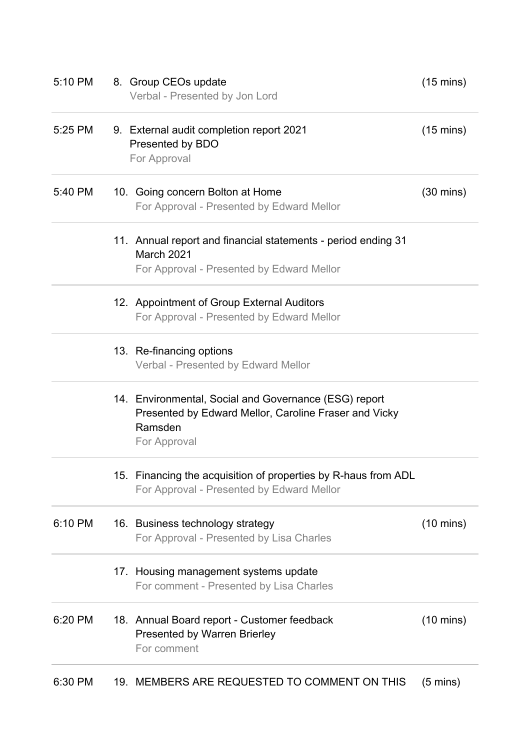| 5:10 PM | 8. Group CEOs update<br>Verbal - Presented by Jon Lord                                                                                    | $(15 \text{ mins})$ |
|---------|-------------------------------------------------------------------------------------------------------------------------------------------|---------------------|
| 5:25 PM | 9. External audit completion report 2021<br>Presented by BDO<br>For Approval                                                              | $(15 \text{ mins})$ |
| 5:40 PM | 10. Going concern Bolton at Home<br>For Approval - Presented by Edward Mellor                                                             | $(30 \text{ mins})$ |
|         | 11. Annual report and financial statements - period ending 31<br>March 2021<br>For Approval - Presented by Edward Mellor                  |                     |
|         | 12. Appointment of Group External Auditors<br>For Approval - Presented by Edward Mellor                                                   |                     |
|         | 13. Re-financing options<br>Verbal - Presented by Edward Mellor                                                                           |                     |
|         | 14. Environmental, Social and Governance (ESG) report<br>Presented by Edward Mellor, Caroline Fraser and Vicky<br>Ramsden<br>For Approval |                     |
|         | 15. Financing the acquisition of properties by R-haus from ADL<br>For Approval - Presented by Edward Mellor                               |                     |
| 6:10 PM | 16. Business technology strategy<br>For Approval - Presented by Lisa Charles                                                              | $(10 \text{ mins})$ |
|         | 17. Housing management systems update<br>For comment - Presented by Lisa Charles                                                          |                     |
| 6:20 PM | 18. Annual Board report - Customer feedback<br><b>Presented by Warren Brierley</b><br>For comment                                         | $(10 \text{ mins})$ |
| 6:30 PM | 19. MEMBERS ARE REQUESTED TO COMMENT ON THIS                                                                                              | $(5 \text{ mins})$  |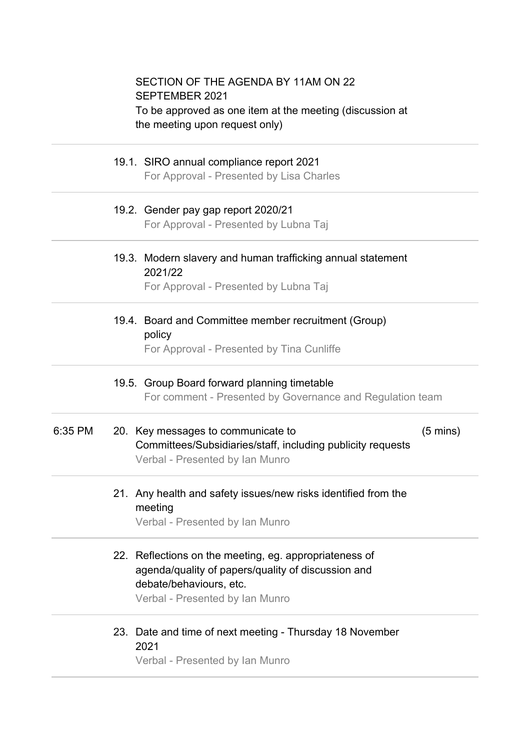#### SECTION OF THE AGENDA BY 11AM ON 22 SEPTEMBER 2021 To be approved as one item at the meeting (discussion at the meeting upon request only)

#### 19.1. SIRO annual compliance report 2021 For Approval - Presented by Lisa Charles

19.2. Gender pay gap report 2020/21

For Approval - Presented by Lubna Taj

### 19.3. Modern slavery and human trafficking annual statement 2021/22

For Approval - Presented by Lubna Taj

# 19.4. Board and Committee member recruitment (Group) policy

For Approval - Presented by Tina Cunliffe

#### 19.5. Group Board forward planning timetable For comment - Presented by Governance and Regulation team

#### 6:35 PM 20. Key messages to communicate to Committees/Subsidiaries/staff, including publicity requests (5 mins) Verbal - Presented by Ian Munro

# 21. Any health and safety issues/new risks identified from the meeting

Verbal - Presented by Ian Munro

## 22. Reflections on the meeting, eg. appropriateness of agenda/quality of papers/quality of discussion and debate/behaviours, etc.

Verbal - Presented by Ian Munro

# 23. Date and time of next meeting - Thursday 18 November 2021

Verbal - Presented by Ian Munro